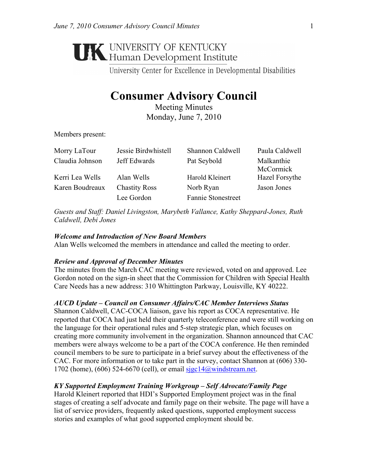# **UNIVERSITY OF KENTUCKY**<br>Human Development Institute

University Center for Excellence in Developmental Disabilities

# **Consumer Advisory Council**

Meeting Minutes Monday, June 7, 2010

Members present:

| Morry LaTour    | Jessie Birdwhistell  | Shannon Caldwell          | Paula Caldwell          |
|-----------------|----------------------|---------------------------|-------------------------|
| Claudia Johnson | Jeff Edwards         | Pat Seybold               | Malkanthie<br>McCormick |
| Kerri Lea Wells | Alan Wells           | Harold Kleinert           | Hazel Forsythe          |
| Karen Boudreaux | <b>Chastity Ross</b> | Norb Ryan                 | Jason Jones             |
|                 | Lee Gordon           | <b>Fannie Stonestreet</b> |                         |

*Guests and Staff: Daniel Livingston, Marybeth Vallance, Kathy Sheppard-Jones, Ruth Caldwell, Debi Jones* 

# *Welcome and Introduction of New Board Members*

Alan Wells welcomed the members in attendance and called the meeting to order.

# *Review and Approval of December Minutes*

The minutes from the March CAC meeting were reviewed, voted on and approved. Lee Gordon noted on the sign-in sheet that the Commission for Children with Special Health Care Needs has a new address: 310 Whittington Parkway, Louisville, KY 40222.

# *AUCD Update – Council on Consumer Affairs/CAC Member Interviews Status*

Shannon Caldwell, CAC-COCA liaison, gave his report as COCA representative. He reported that COCA had just held their quarterly teleconference and were still working on the language for their operational rules and 5-step strategic plan, which focuses on creating more community involvement in the organization. Shannon announced that CAC members were always welcome to be a part of the COCA conference. He then reminded council members to be sure to participate in a brief survey about the effectiveness of the CAC. For more information or to take part in the survey, contact Shannon at (606) 330- 1702 (home), (606) 524-6670 (cell), or email sigc14@windstream.net.

# *KY Supported Employment Training Workgroup – Self Advocate/Family Page*

Harold Kleinert reported that HDI's Supported Employment project was in the final stages of creating a self advocate and family page on their website. The page will have a list of service providers, frequently asked questions, supported employment success stories and examples of what good supported employment should be.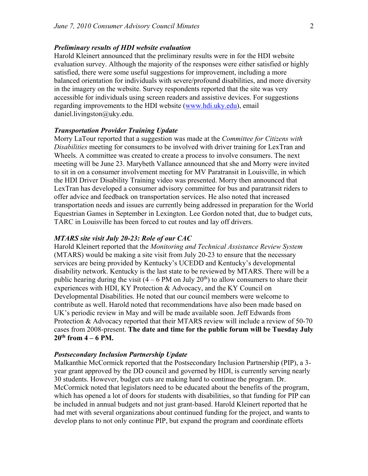#### *Preliminary results of HDI website evaluation*

Harold Kleinert announced that the preliminary results were in for the HDI website evaluation survey. Although the majority of the responses were either satisfied or highly satisfied, there were some useful suggestions for improvement, including a more balanced orientation for individuals with severe/profound disabilities, and more diversity in the imagery on the website. Survey respondents reported that the site was very accessible for individuals using screen readers and assistive devices. For suggestions regarding improvements to the HDI website (www.hdi.uky.edu), email daniel.livingston@uky.edu.

#### *Transportation Provider Training Update*

Morry LaTour reported that a suggestion was made at the *Committee for Citizens with Disabilities* meeting for consumers to be involved with driver training for LexTran and Wheels. A committee was created to create a process to involve consumers. The next meeting will be June 23. Marybeth Vallance announced that she and Morry were invited to sit in on a consumer involvement meeting for MV Paratransit in Louisville, in which the HDI Driver Disability Training video was presented. Morry then announced that LexTran has developed a consumer advisory committee for bus and paratransit riders to offer advice and feedback on transportation services. He also noted that increased transportation needs and issues are currently being addressed in preparation for the World Equestrian Games in September in Lexington. Lee Gordon noted that, due to budget cuts, TARC in Louisville has been forced to cut routes and lay off drivers.

#### *MTARS site visit July 20-23: Role of our CAC*

Harold Kleinert reported that the *Monitoring and Technical Assistance Review System* (MTARS) would be making a site visit from July 20-23 to ensure that the necessary services are being provided by Kentucky's UCEDD and Kentucky's developmental disability network. Kentucky is the last state to be reviewed by MTARS. There will be a public hearing during the visit  $(4 - 6$  PM on July  $20<sup>th</sup>$ ) to allow consumers to share their experiences with HDI, KY Protection & Advocacy, and the KY Council on Developmental Disabilities. He noted that our council members were welcome to contribute as well. Harold noted that recommendations have also been made based on UK's periodic review in May and will be made available soon. Jeff Edwards from Protection & Advocacy reported that their MTARS review will include a review of 50-70 cases from 2008-present. **The date and time for the public forum will be Tuesday July**   $20^{th}$  from  $4 - 6$  PM.

#### *Postsecondary Inclusion Partnership Update*

Malkanthie McCormick reported that the Postsecondary Inclusion Partnership (PIP), a 3 year grant approved by the DD council and governed by HDI, is currently serving nearly 30 students. However, budget cuts are making hard to continue the program. Dr. McCormick noted that legislators need to be educated about the benefits of the program, which has opened a lot of doors for students with disabilities, so that funding for PIP can be included in annual budgets and not just grant-based. Harold Kleinert reported that he had met with several organizations about continued funding for the project, and wants to develop plans to not only continue PIP, but expand the program and coordinate efforts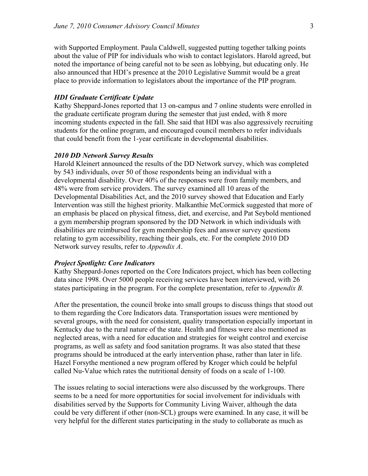with Supported Employment. Paula Caldwell, suggested putting together talking points about the value of PIP for individuals who wish to contact legislators. Harold agreed, but noted the importance of being careful not to be seen as lobbying, but educating only. He also announced that HDI's presence at the 2010 Legislative Summit would be a great place to provide information to legislators about the importance of the PIP program.

# *HDI Graduate Certificate Update*

Kathy Sheppard-Jones reported that 13 on-campus and 7 online students were enrolled in the graduate certificate program during the semester that just ended, with 8 more incoming students expected in the fall. She said that HDI was also aggressively recruiting students for the online program, and encouraged council members to refer individuals that could benefit from the 1-year certificate in developmental disabilities.

#### *2010 DD Network Survey Results*

Harold Kleinert announced the results of the DD Network survey, which was completed by 543 individuals, over 50 of those respondents being an individual with a developmental disability. Over 40% of the responses were from family members, and 48% were from service providers. The survey examined all 10 areas of the Developmental Disabilities Act, and the 2010 survey showed that Education and Early Intervention was still the highest priority. Malkanthie McCormick suggested that more of an emphasis be placed on physical fitness, diet, and exercise, and Pat Seybold mentioned a gym membership program sponsored by the DD Network in which individuals with disabilities are reimbursed for gym membership fees and answer survey questions relating to gym accessibility, reaching their goals, etc. For the complete 2010 DD Network survey results, refer to *Appendix A*.

#### *Project Spotlight: Core Indicators*

Kathy Sheppard-Jones reported on the Core Indicators project, which has been collecting data since 1998. Over 5000 people receiving services have been interviewed, with 26 states participating in the program. For the complete presentation, refer to *Appendix B.*

After the presentation, the council broke into small groups to discuss things that stood out to them regarding the Core Indicators data. Transportation issues were mentioned by several groups, with the need for consistent, quality transportation especially important in Kentucky due to the rural nature of the state. Health and fitness were also mentioned as neglected areas, with a need for education and strategies for weight control and exercise programs, as well as safety and food sanitation programs. It was also stated that these programs should be introduced at the early intervention phase, rather than later in life. Hazel Forsythe mentioned a new program offered by Kroger which could be helpful called Nu-Value which rates the nutritional density of foods on a scale of 1-100.

The issues relating to social interactions were also discussed by the workgroups. There seems to be a need for more opportunities for social involvement for individuals with disabilities served by the Supports for Community Living Waiver, although the data could be very different if other (non-SCL) groups were examined. In any case, it will be very helpful for the different states participating in the study to collaborate as much as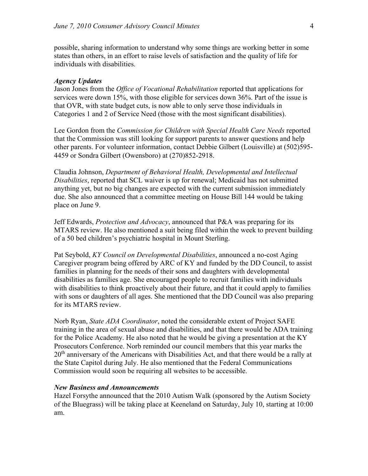possible, sharing information to understand why some things are working better in some states than others, in an effort to raise levels of satisfaction and the quality of life for individuals with disabilities.

#### *Agency Updates*

Jason Jones from the *Office of Vocational Rehabilitation* reported that applications for services were down 15%, with those eligible for services down 36%. Part of the issue is that OVR, with state budget cuts, is now able to only serve those individuals in Categories 1 and 2 of Service Need (those with the most significant disabilities).

Lee Gordon from the *Commission for Children with Special Health Care Needs* reported that the Commission was still looking for support parents to answer questions and help other parents. For volunteer information, contact Debbie Gilbert (Louisville) at (502)595- 4459 or Sondra Gilbert (Owensboro) at (270)852-2918.

Claudia Johnson, *Department of Behavioral Health, Developmental and Intellectual Disabilities*, reported that SCL waiver is up for renewal; Medicaid has not submitted anything yet, but no big changes are expected with the current submission immediately due. She also announced that a committee meeting on House Bill 144 would be taking place on June 9.

Jeff Edwards, *Protection and Advocacy*, announced that P&A was preparing for its MTARS review. He also mentioned a suit being filed within the week to prevent building of a 50 bed children's psychiatric hospital in Mount Sterling.

Pat Seybold, *KY Council on Developmental Disabilities*, announced a no-cost Aging Caregiver program being offered by ARC of KY and funded by the DD Council, to assist families in planning for the needs of their sons and daughters with developmental disabilities as families age. She encouraged people to recruit families with individuals with disabilities to think proactively about their future, and that it could apply to families with sons or daughters of all ages. She mentioned that the DD Council was also preparing for its MTARS review.

Norb Ryan, *State ADA Coordinator*, noted the considerable extent of Project SAFE training in the area of sexual abuse and disabilities, and that there would be ADA training for the Police Academy. He also noted that he would be giving a presentation at the KY Prosecutors Conference. Norb reminded our council members that this year marks the  $20<sup>th</sup>$  anniversary of the Americans with Disabilities Act, and that there would be a rally at the State Capitol during July. He also mentioned that the Federal Communications Commission would soon be requiring all websites to be accessible.

### *New Business and Announcements*

Hazel Forsythe announced that the 2010 Autism Walk (sponsored by the Autism Society of the Bluegrass) will be taking place at Keeneland on Saturday, July 10, starting at 10:00 am.